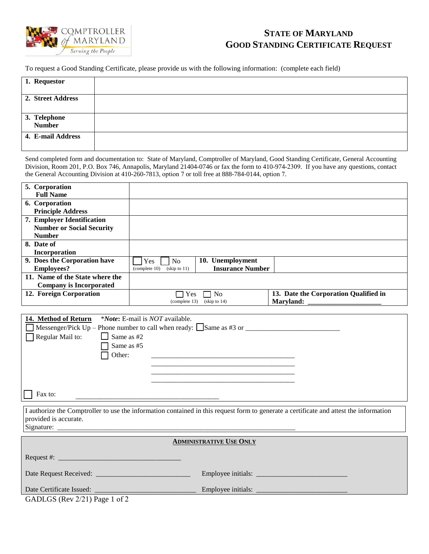

## **STATE OF MARYLAND GOOD STANDING CERTIFICATE REQUEST**

To request a Good Standing Certificate, please provide us with the following information: (complete each field)

| 1. Requestor           |  |
|------------------------|--|
| 2. Street Address      |  |
| 3. Telephone<br>Number |  |
| 4. E-mail Address      |  |

Send completed form and documentation to: State of Maryland, Comptroller of Maryland, Good Standing Certificate, General Accounting Division, Room 201, P.O. Box 746, Annapolis, Maryland 21404-0746 or fax the form to 410-974-2309. If you have any questions, contact the General Accounting Division at 410-260-7813, option 7 or toll free at 888-784-0144, option 7.

| 5. Corporation                   |                                            |                         |                                       |
|----------------------------------|--------------------------------------------|-------------------------|---------------------------------------|
| <b>Full Name</b>                 |                                            |                         |                                       |
| 6. Corporation                   |                                            |                         |                                       |
| <b>Principle Address</b>         |                                            |                         |                                       |
| 7. Employer Identification       |                                            |                         |                                       |
| <b>Number or Social Security</b> |                                            |                         |                                       |
| <b>Number</b>                    |                                            |                         |                                       |
| 8. Date of                       |                                            |                         |                                       |
| Incorporation                    |                                            |                         |                                       |
| 9. Does the Corporation have     | Yes<br>N <sub>o</sub>                      | 10. Unemployment        |                                       |
| <b>Employees?</b>                | $(kip \to 11)$<br>$\epsilon$ (complete 10) | <b>Insurance Number</b> |                                       |
| 11. Name of the State where the  |                                            |                         |                                       |
| <b>Company is Incorporated</b>   |                                            |                         |                                       |
| 12. Foreign Corporation          | Yes<br>No                                  |                         | 13. Date the Corporation Qualified in |
|                                  | (complete 13)                              | $(kip)$ to 14)          | Marvland:                             |

| 14. Method of Return *Note: E-mail is NOT available.                                                                                   |  |  |  |  |  |
|----------------------------------------------------------------------------------------------------------------------------------------|--|--|--|--|--|
| $\Box$ Messenger/Pick Up – Phone number to call when ready: $\Box$ Same as #3 or                                                       |  |  |  |  |  |
| $\Box$ Same as #2<br>$\Box$ Regular Mail to:                                                                                           |  |  |  |  |  |
| $\Box$ Same as #5                                                                                                                      |  |  |  |  |  |
| $\Box$ Other:                                                                                                                          |  |  |  |  |  |
|                                                                                                                                        |  |  |  |  |  |
|                                                                                                                                        |  |  |  |  |  |
|                                                                                                                                        |  |  |  |  |  |
| Fax to:                                                                                                                                |  |  |  |  |  |
| I quitorize the Comptroller to use the information contained in this request form to generate a certificate and ettest the information |  |  |  |  |  |

I authorize the Comptroller to use the information contained in this request form to generate a certificate and attest the information provided is accurate. Signature:

#### **ADMINISTRATIVE USE ONLY**

| Request #:                    |                    |
|-------------------------------|--------------------|
| Date Request Received:        | Employee initials: |
| Date Certificate Issued:      | Employee initials: |
| GADLGS (Rev 2/21) Page 1 of 2 |                    |